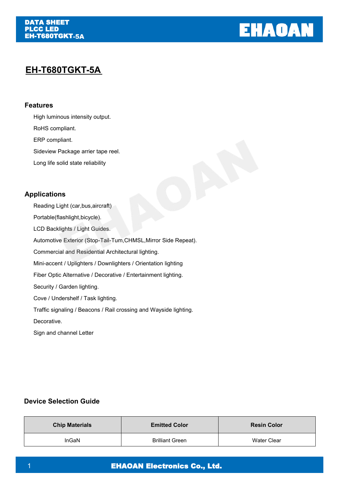

# **EH-T680TGKT -5A**

## **Features**

High luminous intensity output.

RoHS compliant.

ERP compliant.

Sideview Package arrier tape reel.

Long life solid state reliability

## **Applications**

Reading Light (car,bus,aircraft) Portable(flashlight,bicycle). LCD Backlights / Light Guides. Automotive Exterior (Stop-Tail-Tum,CHMSL,Mirror Side Repeat). Commercial and Residential Architectural lighting. Mini-accent / Uplighters / Downlighters / Orientation lighting Fiber Optic Alternative / Decorative / Entertainment lighting. Security / Garden lighting. Cove / Undershelf / Task lighting.

Traffic signaling / Beacons / Rail crossing and Wayside lighting.

Decorative.

Sign and channel Letter

## **Device Selection Guide**

| <b>Chip Materials</b> | <b>Emitted Color</b>   | <b>Resin Color</b> |
|-----------------------|------------------------|--------------------|
| <b>InGaN</b>          | <b>Brilliant Green</b> | <b>Water Clear</b> |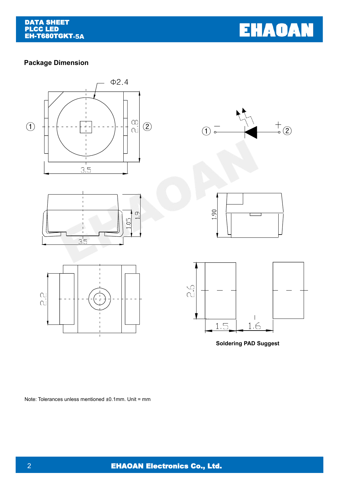**EHAOAN** 

## **Package Dimension**













**Soldering PAD Suggest**

Note: Tolerances unless mentioned ±0.1mm. Unit = mm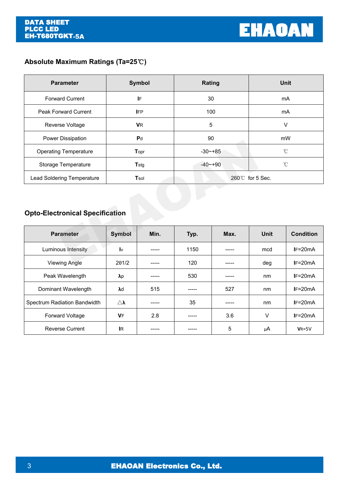## **Absolute Maximum Ratings (Ta=25**℃**)**

| <b>Parameter</b>             | Symbol         | <b>Rating</b>   | <b>Unit</b>  |  |
|------------------------------|----------------|-----------------|--------------|--|
| <b>Forward Current</b>       | IF             | 30              | mA           |  |
| <b>Peak Forward Current</b>  | <b>IFP</b>     | 100             | mA           |  |
| Reverse Voltage              | <b>V</b> R     | 5               | v            |  |
| Power Dissipation            | P <sub>d</sub> | 90              | mW           |  |
| <b>Operating Temperature</b> | Topr           | $-30$ $-+85$    | $^{\circ}$ C |  |
| Storage Temperature          | <b>T</b> stg   | $-40 - +90$     | °C           |  |
| Lead Soldering Temperature   | Tsol           | 260℃ for 5 Sec. |              |  |

# **Opto-Electronical Specification**

| <b>Parameter</b>             | <b>Symbol</b>           | Min.   | Typ.   | Max.   | <b>Unit</b> | <b>Condition</b> |
|------------------------------|-------------------------|--------|--------|--------|-------------|------------------|
| Luminous Intensity           | $\mathsf{I} \mathsf{v}$ | -----  | 1150   | -----  | mcd         | $IF=20mA$        |
| <b>Viewing Angle</b>         | 201/2                   | -----  | 120    | ------ | deg         | $IF=20mA$        |
| Peak Wavelength              | $\lambda p$             | ------ | 530    | -----  | nm          | $IF=20mA$        |
| Dominant Wavelength          | $\lambda$ d             | 515    | -----  | 527    | nm          | $IF=20mA$        |
| Spectrum Radiation Bandwidth | $\triangle$             | -----  | 35     | -----  | nm          | $IF=20mA$        |
| Forward Voltage              | <b>VF</b>               | 2.8    | ------ | 3.6    | V           | $IF=20mA$        |
| <b>Reverse Current</b>       | <b>IR</b>               | -----  | -----  | 5      | μA          | $VR=5V$          |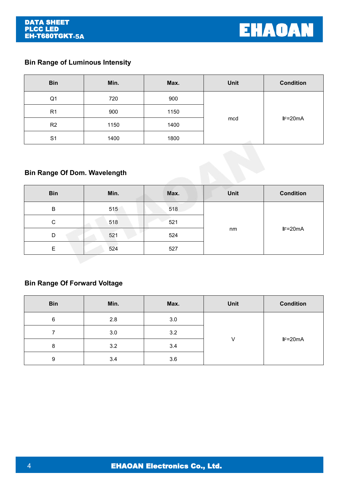

## **Bin Range of Luminous Intensity**

| <b>Bin</b>     | Min. | Max. | <b>Unit</b> | <b>Condition</b> |
|----------------|------|------|-------------|------------------|
| Q <sub>1</sub> | 720  | 900  |             |                  |
| R <sub>1</sub> | 900  | 1150 |             |                  |
| R2             | 1150 | 1400 | mcd         | $IF=20mA$        |
| S <sub>1</sub> | 1400 | 1800 |             |                  |

## **Bin Range Of Dom. Wavelength**

| <b>Bin</b> | Min. | Max. | <b>Unit</b> | <b>Condition</b> |
|------------|------|------|-------------|------------------|
| B          | 515  | 518  |             |                  |
| С          | 518  | 521  |             |                  |
| D          | 521  | 524  | nm          | $IF=20mA$        |
| Е          | 524  | 527  |             |                  |

## **Bin Range Of Forward Voltage**

| <b>Bin</b> | Min. | Max. | <b>Unit</b> | <b>Condition</b> |  |
|------------|------|------|-------------|------------------|--|
| 6          | 2.8  | 3.0  |             |                  |  |
|            | 3.0  | 3.2  |             |                  |  |
| 8          | 3.2  | 3.4  | V           | $IF=20mA$        |  |
| 9          | 3.4  | 3.6  |             |                  |  |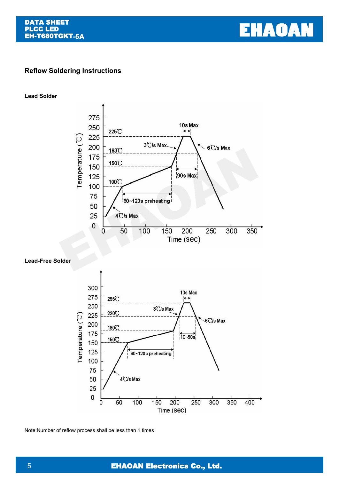

## **Reflow Soldering Instructions**

**Lead Solder**



#### **Lead-Free Solder**



Note:Number of reflow process shall be less than 1 times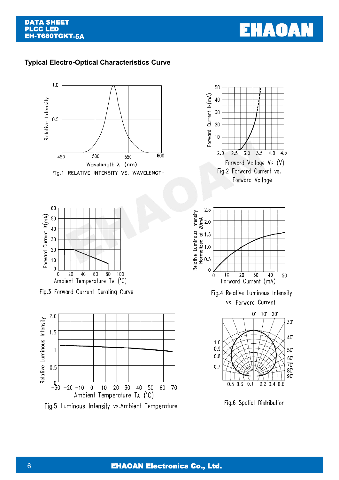

## **Typical Electro-Optical Characteristics Curve**

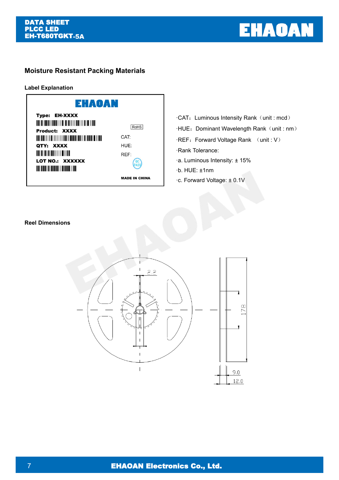

## **Moisture Resistant Packing Materials**

**Label Explanation**



### **Reel Dimensions**

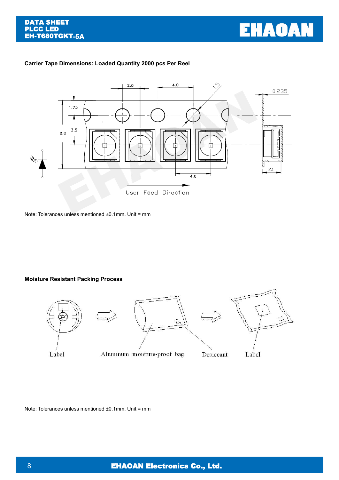

### **Carrier Tape Dimensions: Loaded Quantity 2000 pcs Per Reel**



Note: Tolerances unless mentioned ±0.1mm. Unit = mm

#### **Moisture Resistant Packing Process**



Note: Tolerances unless mentioned ±0.1mm. Unit = mm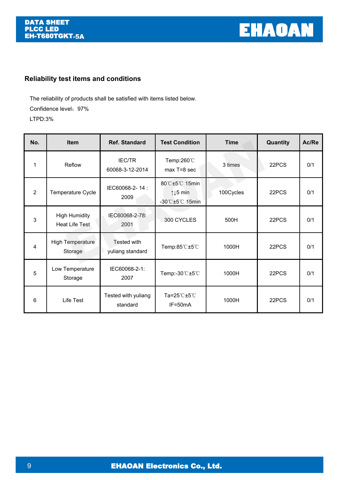

## **Reliability test items and conditions**

The reliability of products shall be satisfied with items listed below. Confidence level: 97% LTPD:3%

| No.            | Item                                   | <b>Ref. Standard</b>             | <b>Test Condition</b>                                                                    | <b>Time</b> | Quantity | Ac/Re |
|----------------|----------------------------------------|----------------------------------|------------------------------------------------------------------------------------------|-------------|----------|-------|
|                | Reflow                                 | <b>IEC/TR</b><br>60068-3-12-2014 | Temp:260°C<br>max T=8 sec                                                                | 3 times     | 22PCS    | 0/1   |
| $\overline{2}$ | Temperature Cycle                      | IEC60068-2-14:<br>2009           | 80°C±5°C 15min<br>$\uparrow \downarrow 5$ min<br>$-30^{\circ}$ C $\pm 5^{\circ}$ C 15min | 100Cycles   | 22PCS    | 0/1   |
| 3              | <b>High Humidity</b><br>Heat Life Test | IEC60068-2-78:<br>2001           | 300 CYCLES                                                                               | 500H        | 22PCS    | 0/1   |
| 4              | <b>High Temperature</b><br>Storage     | Tested with<br>yuliang standard  | Temp:85°C±5°C                                                                            | 1000H       | 22PCS    | 0/1   |
| 5              | Low Temperature<br>Storage             | IEC60068-2-1:<br>2007            | Temp:-30 °C ±5 °C                                                                        | 1000H       | 22PCS    | 0/1   |
| 6              | Life Test                              | Tested with yuliang<br>standard  | Ta=25 $°C$ ±5 $°C$<br>IF=50mA                                                            | 1000H       | 22PCS    | 0/1   |